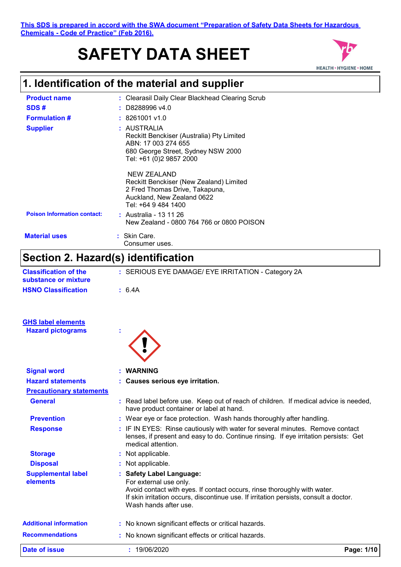# **SAFETY DATA SHEET**



# **1. Identification of the material and supplier**

| <b>Product name</b>                | : Clearasil Daily Clear Blackhead Clearing Scrub                                                                                                 |
|------------------------------------|--------------------------------------------------------------------------------------------------------------------------------------------------|
| SDS#                               | $:$ D8288996 v4.0                                                                                                                                |
| <b>Formulation #</b>               | $: 8261001$ v1.0                                                                                                                                 |
| <b>Supplier</b>                    | : AUSTRALIA<br>Reckitt Benckiser (Australia) Pty Limited<br>ABN: 17 003 274 655<br>680 George Street, Sydney NSW 2000<br>Tel: +61 (0)2 9857 2000 |
|                                    | NEW ZEALAND<br>Reckitt Benckiser (New Zealand) Limited<br>2 Fred Thomas Drive, Takapuna,<br>Auckland, New Zealand 0622<br>Tel: +64 9 484 1400    |
| <b>Poison Information contact:</b> | : Australia - 13 11 26<br>New Zealand - 0800 764 766 or 0800 POISON                                                                              |
| <b>Material uses</b>               | : Skin Care.<br>Consumer uses.                                                                                                                   |

# **Section 2. Hazard(s) identification**

| <b>Classification of the</b><br>substance or mixture | : SERIOUS EYE DAMAGE/ EYE IRRITATION - Category 2A                                                                                                                                                                                               |            |
|------------------------------------------------------|--------------------------------------------------------------------------------------------------------------------------------------------------------------------------------------------------------------------------------------------------|------------|
| <b>HSNO Classification</b>                           | : 6.4A                                                                                                                                                                                                                                           |            |
| <b>GHS label elements</b>                            |                                                                                                                                                                                                                                                  |            |
| <b>Hazard pictograms</b>                             |                                                                                                                                                                                                                                                  |            |
| <b>Signal word</b>                                   | <b>WARNING</b>                                                                                                                                                                                                                                   |            |
| <b>Hazard statements</b>                             | : Causes serious eye irritation.                                                                                                                                                                                                                 |            |
| <b>Precautionary statements</b>                      |                                                                                                                                                                                                                                                  |            |
| <b>General</b>                                       | : Read label before use. Keep out of reach of children. If medical advice is needed,<br>have product container or label at hand.                                                                                                                 |            |
| <b>Prevention</b>                                    | : Wear eye or face protection. Wash hands thoroughly after handling.                                                                                                                                                                             |            |
| <b>Response</b>                                      | : IF IN EYES: Rinse cautiously with water for several minutes. Remove contact<br>lenses, if present and easy to do. Continue rinsing. If eye irritation persists: Get<br>medical attention.                                                      |            |
| <b>Storage</b>                                       | : Not applicable.                                                                                                                                                                                                                                |            |
| <b>Disposal</b>                                      | : Not applicable.                                                                                                                                                                                                                                |            |
| <b>Supplemental label</b><br>elements                | : Safety Label Language:<br>For external use only.<br>Avoid contact with eyes. If contact occurs, rinse thoroughly with water.<br>If skin irritation occurs, discontinue use. If irritation persists, consult a doctor.<br>Wash hands after use. |            |
| <b>Additional information</b>                        | : No known significant effects or critical hazards.                                                                                                                                                                                              |            |
| <b>Recommendations</b>                               | : No known significant effects or critical hazards.                                                                                                                                                                                              |            |
| <b>Date of issue</b>                                 | : 19/06/2020                                                                                                                                                                                                                                     | Page: 1/10 |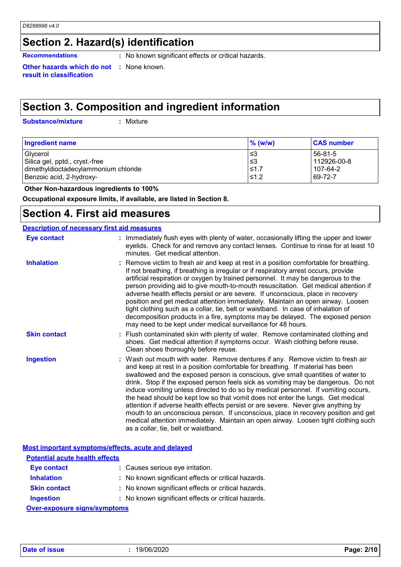# **Section 2. Hazard(s) identification**

**Recommendations :** No known significant effects or critical hazards.

**Other hazards which do not result in classification**

# **Section 3. Composition and ingredient information**

**Substance/mixture :**

: Mixture

**:** None known.

| <b>Ingredient name</b>               | $%$ (w/w) | <b>CAS number</b> |
|--------------------------------------|-----------|-------------------|
| Glycerol                             | '≤3       | 56-81-5           |
| Silica gel, pptd., cryst.-free       | ՝≤3       | 112926-00-8       |
| dimethyldioctadecylammonium chloride | $≤1.7$    | 107-64-2          |
| Benzoic acid, 2-hydroxy-             | $≤1.2$    | 69-72-7           |

 **Other Non-hazardous ingredients to 100%**

**Occupational exposure limits, if available, are listed in Section 8.**

## **Section 4. First aid measures**

| <b>Description of necessary first aid measures</b> |                                                                                                                                                                                                                                                                                                                                                                                                                                                                                                                                                                                                                                                                                                                                                                                                                              |
|----------------------------------------------------|------------------------------------------------------------------------------------------------------------------------------------------------------------------------------------------------------------------------------------------------------------------------------------------------------------------------------------------------------------------------------------------------------------------------------------------------------------------------------------------------------------------------------------------------------------------------------------------------------------------------------------------------------------------------------------------------------------------------------------------------------------------------------------------------------------------------------|
| <b>Eye contact</b>                                 | : Immediately flush eyes with plenty of water, occasionally lifting the upper and lower<br>eyelids. Check for and remove any contact lenses. Continue to rinse for at least 10<br>minutes. Get medical attention.                                                                                                                                                                                                                                                                                                                                                                                                                                                                                                                                                                                                            |
| <b>Inhalation</b>                                  | : Remove victim to fresh air and keep at rest in a position comfortable for breathing.<br>If not breathing, if breathing is irregular or if respiratory arrest occurs, provide<br>artificial respiration or oxygen by trained personnel. It may be dangerous to the<br>person providing aid to give mouth-to-mouth resuscitation. Get medical attention if<br>adverse health effects persist or are severe. If unconscious, place in recovery<br>position and get medical attention immediately. Maintain an open airway. Loosen<br>tight clothing such as a collar, tie, belt or waistband. In case of inhalation of<br>decomposition products in a fire, symptoms may be delayed. The exposed person<br>may need to be kept under medical surveillance for 48 hours.                                                       |
| <b>Skin contact</b>                                | : Flush contaminated skin with plenty of water. Remove contaminated clothing and<br>shoes. Get medical attention if symptoms occur. Wash clothing before reuse.<br>Clean shoes thoroughly before reuse.                                                                                                                                                                                                                                                                                                                                                                                                                                                                                                                                                                                                                      |
| <b>Ingestion</b>                                   | : Wash out mouth with water. Remove dentures if any. Remove victim to fresh air<br>and keep at rest in a position comfortable for breathing. If material has been<br>swallowed and the exposed person is conscious, give small quantities of water to<br>drink. Stop if the exposed person feels sick as vomiting may be dangerous. Do not<br>induce vomiting unless directed to do so by medical personnel. If vomiting occurs,<br>the head should be kept low so that vomit does not enter the lungs. Get medical<br>attention if adverse health effects persist or are severe. Never give anything by<br>mouth to an unconscious person. If unconscious, place in recovery position and get<br>medical attention immediately. Maintain an open airway. Loosen tight clothing such<br>as a collar, tie, belt or waistband. |

**Most important symptoms/effects, acute and delayed**

| <b>Potential acute health effects</b> |                                                     |
|---------------------------------------|-----------------------------------------------------|
| <b>Eye contact</b>                    | : Causes serious eye irritation.                    |
| <b>Inhalation</b>                     | : No known significant effects or critical hazards. |
| <b>Skin contact</b>                   | : No known significant effects or critical hazards. |
| <b>Ingestion</b>                      | : No known significant effects or critical hazards. |
| <b>Over-exposure signs/symptoms</b>   |                                                     |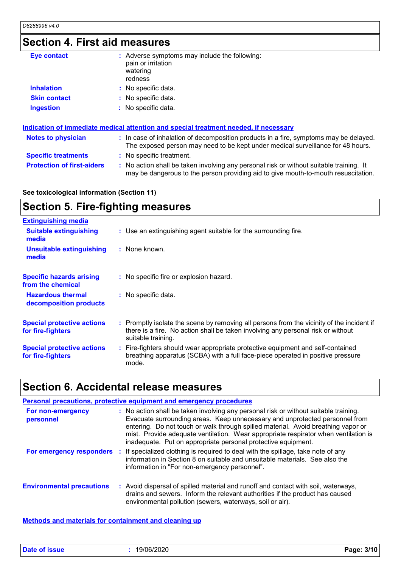## **Section 4. First aid measures**

| <b>Eye contact</b>                | : Adverse symptoms may include the following:<br>pain or irritation<br>watering<br>redness                                                                                    |
|-----------------------------------|-------------------------------------------------------------------------------------------------------------------------------------------------------------------------------|
| <b>Inhalation</b>                 | : No specific data.                                                                                                                                                           |
| <b>Skin contact</b>               | : No specific data.                                                                                                                                                           |
| <b>Ingestion</b>                  | : No specific data.                                                                                                                                                           |
|                                   | <u>Indication of immediate medical attention and special treatment needed, if necessary</u>                                                                                   |
| <b>Notes to physician</b>         | : In case of inhalation of decomposition products in a fire, symptoms may be delayed.<br>The exposed person may need to be kept under medical surveillance for 48 hours.      |
| <b>Specific treatments</b>        | : No specific treatment.                                                                                                                                                      |
| <b>Protection of first-aiders</b> | : No action shall be taken involving any personal risk or without suitable training. It<br>may be dangerous to the person providing aid to give mouth-to-mouth resuscitation. |

### **See toxicological information (Section 11)**

#### **Section 5. Fire-fighting measures :** Promptly isolate the scene by removing all persons from the vicinity of the incident if there is a fire. No action shall be taken involving any personal risk or without suitable training. **Hazardous thermal decomposition products Specific hazards arising from the chemical** No specific data. **:** No specific fire or explosion hazard. **:** Fire-fighters should wear appropriate protective equipment and self-contained **:** breathing apparatus (SCBA) with a full face-piece operated in positive pressure mode. **Special protective actions for fire-fighters** Use an extinguishing agent suitable for the surrounding fire. **: Extinguishing media :** None known. **Suitable extinguishing media Unsuitable extinguishing media Special protective actions for fire-fighters**

### **Section 6. Accidental release measures**

|                                  |    | Personal precautions, protective equipment and emergency procedures                                                                                                                                                                                                                                                                                                                                              |
|----------------------------------|----|------------------------------------------------------------------------------------------------------------------------------------------------------------------------------------------------------------------------------------------------------------------------------------------------------------------------------------------------------------------------------------------------------------------|
| For non-emergency<br>personnel   |    | : No action shall be taken involving any personal risk or without suitable training.<br>Evacuate surrounding areas. Keep unnecessary and unprotected personnel from<br>entering. Do not touch or walk through spilled material. Avoid breathing vapor or<br>mist. Provide adequate ventilation. Wear appropriate respirator when ventilation is<br>inadequate. Put on appropriate personal protective equipment. |
| For emergency responders         | п. | If specialized clothing is required to deal with the spillage, take note of any<br>information in Section 8 on suitable and unsuitable materials. See also the<br>information in "For non-emergency personnel".                                                                                                                                                                                                  |
| <b>Environmental precautions</b> |    | : Avoid dispersal of spilled material and runoff and contact with soil, waterways,<br>drains and sewers. Inform the relevant authorities if the product has caused<br>environmental pollution (sewers, waterways, soil or air).                                                                                                                                                                                  |

**Methods and materials for containment and cleaning up**

**Date of issue :** 19/06/2020 **Page: 3/10**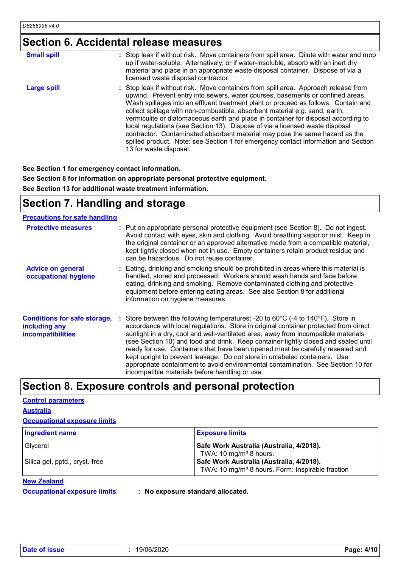# **Section 6. Accidental release measures**

| <b>Small spill</b> | : Stop leak if without risk. Move containers from spill area. Dilute with water and mop<br>up if water-soluble. Alternatively, or if water-insoluble, absorb with an inert dry<br>material and place in an appropriate waste disposal container. Dispose of via a<br>licensed waste disposal contractor.                                                                                                                                                                                                                                                                                                                                                                                                        |
|--------------------|-----------------------------------------------------------------------------------------------------------------------------------------------------------------------------------------------------------------------------------------------------------------------------------------------------------------------------------------------------------------------------------------------------------------------------------------------------------------------------------------------------------------------------------------------------------------------------------------------------------------------------------------------------------------------------------------------------------------|
| <b>Large spill</b> | : Stop leak if without risk. Move containers from spill area. Approach release from<br>upwind. Prevent entry into sewers, water courses, basements or confined areas.<br>Wash spillages into an effluent treatment plant or proceed as follows. Contain and<br>collect spillage with non-combustible, absorbent material e.g. sand, earth,<br>vermiculite or diatomaceous earth and place in container for disposal according to<br>local regulations (see Section 13). Dispose of via a licensed waste disposal<br>contractor. Contaminated absorbent material may pose the same hazard as the<br>spilled product. Note: see Section 1 for emergency contact information and Section<br>13 for waste disposal. |

**See Section 1 for emergency contact information.**

**See Section 8 for information on appropriate personal protective equipment.**

**See Section 13 for additional waste treatment information.**

## **Section 7. Handling and storage**

### **Precautions for safe handling**

| <b>Protective measures</b>                                                       | : Put on appropriate personal protective equipment (see Section 8). Do not ingest.<br>Avoid contact with eyes, skin and clothing. Avoid breathing vapor or mist. Keep in<br>the original container or an approved alternative made from a compatible material,<br>kept tightly closed when not in use. Empty containers retain product residue and<br>can be hazardous. Do not reuse container.                                                                                                                                                                                                                                                                              |
|----------------------------------------------------------------------------------|------------------------------------------------------------------------------------------------------------------------------------------------------------------------------------------------------------------------------------------------------------------------------------------------------------------------------------------------------------------------------------------------------------------------------------------------------------------------------------------------------------------------------------------------------------------------------------------------------------------------------------------------------------------------------|
| <b>Advice on general</b><br>occupational hygiene                                 | : Eating, drinking and smoking should be prohibited in areas where this material is<br>handled, stored and processed. Workers should wash hands and face before<br>eating, drinking and smoking. Remove contaminated clothing and protective<br>equipment before entering eating areas. See also Section 8 for additional<br>information on hygiene measures.                                                                                                                                                                                                                                                                                                                |
| <b>Conditions for safe storage,</b><br>including any<br><b>incompatibilities</b> | Store between the following temperatures: -20 to $60^{\circ}$ C (-4 to $140^{\circ}$ F). Store in<br>accordance with local regulations. Store in original container protected from direct<br>sunlight in a dry, cool and well-ventilated area, away from incompatible materials<br>(see Section 10) and food and drink. Keep container tightly closed and sealed until<br>ready for use. Containers that have been opened must be carefully resealed and<br>kept upright to prevent leakage. Do not store in unlabeled containers. Use<br>appropriate containment to avoid environmental contamination. See Section 10 for<br>incompatible materials before handling or use. |

# **Section 8. Exposure controls and personal protection**

### **Control parameters Australia**

|  | <b>Occupational exposure limits</b> |  |  |
|--|-------------------------------------|--|--|
|--|-------------------------------------|--|--|

| <b>Ingredient name</b>                     | <b>Exposure limits</b>                                                                                                                                                                     |
|--------------------------------------------|--------------------------------------------------------------------------------------------------------------------------------------------------------------------------------------------|
| Glycerol<br>Silica gel, pptd., cryst.-free | Safe Work Australia (Australia, 4/2018).<br>TWA: 10 mg/m <sup>3</sup> 8 hours.<br>Safe Work Australia (Australia, 4/2018).<br>TWA: 10 mg/m <sup>3</sup> 8 hours. Form: Inspirable fraction |

### **New Zealand**

**Occupational exposure limits : No exposure standard allocated.**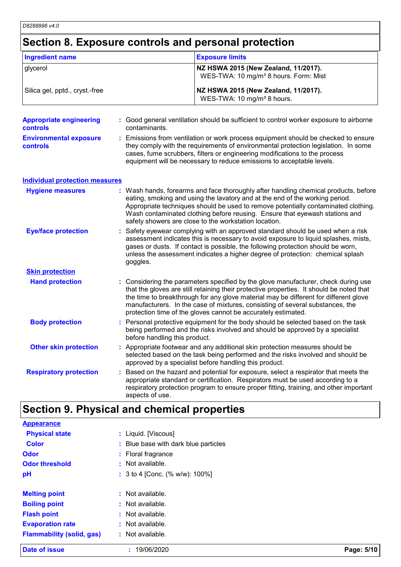# **Section 8. Exposure controls and personal protection**

| <b>Ingredient name</b>                     |                               | <b>Exposure limits</b>                                                                                                                                                                                                                                                                                                                                                                                                   |
|--------------------------------------------|-------------------------------|--------------------------------------------------------------------------------------------------------------------------------------------------------------------------------------------------------------------------------------------------------------------------------------------------------------------------------------------------------------------------------------------------------------------------|
| glycerol                                   |                               | NZ HSWA 2015 (New Zealand, 11/2017).<br>WES-TWA: 10 mg/m <sup>3</sup> 8 hours. Form: Mist                                                                                                                                                                                                                                                                                                                                |
| Silica gel, pptd., cryst.-free             |                               | NZ HSWA 2015 (New Zealand, 11/2017).<br>WES-TWA: 10 mg/m <sup>3</sup> 8 hours.                                                                                                                                                                                                                                                                                                                                           |
| <b>Appropriate engineering</b><br>controls | contaminants.                 | : Good general ventilation should be sufficient to control worker exposure to airborne                                                                                                                                                                                                                                                                                                                                   |
| <b>Environmental exposure</b><br>controls  |                               | : Emissions from ventilation or work process equipment should be checked to ensure<br>they comply with the requirements of environmental protection legislation. In some<br>cases, fume scrubbers, filters or engineering modifications to the process<br>equipment will be necessary to reduce emissions to acceptable levels.                                                                                          |
| <b>Individual protection measures</b>      |                               |                                                                                                                                                                                                                                                                                                                                                                                                                          |
| <b>Hygiene measures</b>                    |                               | : Wash hands, forearms and face thoroughly after handling chemical products, before<br>eating, smoking and using the lavatory and at the end of the working period.<br>Appropriate techniques should be used to remove potentially contaminated clothing.<br>Wash contaminated clothing before reusing. Ensure that eyewash stations and<br>safety showers are close to the workstation location.                        |
| <b>Eye/face protection</b>                 | goggles.                      | Safety eyewear complying with an approved standard should be used when a risk<br>assessment indicates this is necessary to avoid exposure to liquid splashes, mists,<br>gases or dusts. If contact is possible, the following protection should be worn,<br>unless the assessment indicates a higher degree of protection: chemical splash                                                                               |
| <b>Skin protection</b>                     |                               |                                                                                                                                                                                                                                                                                                                                                                                                                          |
| <b>Hand protection</b>                     |                               | : Considering the parameters specified by the glove manufacturer, check during use<br>that the gloves are still retaining their protective properties. It should be noted that<br>the time to breakthrough for any glove material may be different for different glove<br>manufacturers. In the case of mixtures, consisting of several substances, the<br>protection time of the gloves cannot be accurately estimated. |
| <b>Body protection</b>                     | before handling this product. | : Personal protective equipment for the body should be selected based on the task<br>being performed and the risks involved and should be approved by a specialist                                                                                                                                                                                                                                                       |
| <b>Other skin protection</b>               |                               | : Appropriate footwear and any additional skin protection measures should be<br>selected based on the task being performed and the risks involved and should be<br>approved by a specialist before handling this product.                                                                                                                                                                                                |
| <b>Respiratory protection</b>              | aspects of use.               | Based on the hazard and potential for exposure, select a respirator that meets the<br>appropriate standard or certification. Respirators must be used according to a<br>respiratory protection program to ensure proper fitting, training, and other important                                                                                                                                                           |

### **Section 9. Physical and chemical properties**

| <b>Date of issue</b>             | : 19/06/2020                         | Page: 5/10 |
|----------------------------------|--------------------------------------|------------|
| <b>Flammability (solid, gas)</b> | : Not available.                     |            |
| <b>Evaporation rate</b>          | : Not available.                     |            |
| <b>Flash point</b>               | : Not available.                     |            |
| <b>Boiling point</b>             | : Not available.                     |            |
| <b>Melting point</b>             | : Not available.                     |            |
| pH                               | : 3 to 4 [Conc. (% w/w): 100%]       |            |
| <b>Odor threshold</b>            | : Not available.                     |            |
| <b>Odor</b>                      | : Floral fragrance                   |            |
| <b>Color</b>                     | : Blue base with dark blue particles |            |
| <b>Physical state</b>            | : Liquid. [Viscous]                  |            |
| <b>Appearance</b>                |                                      |            |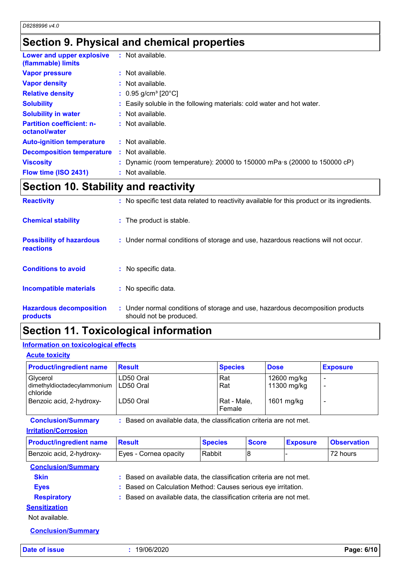# **Section 9. Physical and chemical properties**

| Lower and upper explosive<br>(flammable) limits   | : Not available.                                                         |
|---------------------------------------------------|--------------------------------------------------------------------------|
| <b>Vapor pressure</b>                             | : Not available.                                                         |
| <b>Vapor density</b>                              | : Not available.                                                         |
| <b>Relative density</b>                           | : $0.95$ g/cm <sup>3</sup> [20 $^{\circ}$ C]                             |
| <b>Solubility</b>                                 | : Easily soluble in the following materials: cold water and hot water.   |
| <b>Solubility in water</b>                        | : Not available.                                                         |
| <b>Partition coefficient: n-</b><br>octanol/water | : Not available.                                                         |
| <b>Auto-ignition temperature</b>                  | : Not available.                                                         |
| <b>Decomposition temperature</b>                  | : Not available.                                                         |
| <b>Viscosity</b>                                  | : Dynamic (room temperature): 20000 to 150000 mPa s (20000 to 150000 cP) |
| Flow time (ISO 2431)                              | : Not available.                                                         |

## **Section 10. Stability and reactivity**

| <b>Reactivity</b>                            | : No specific test data related to reactivity available for this product or its ingredients.              |
|----------------------------------------------|-----------------------------------------------------------------------------------------------------------|
| <b>Chemical stability</b>                    | : The product is stable.                                                                                  |
| <b>Possibility of hazardous</b><br>reactions | : Under normal conditions of storage and use, hazardous reactions will not occur.                         |
| <b>Conditions to avoid</b>                   | $:$ No specific data.                                                                                     |
| Incompatible materials                       | : No specific data.                                                                                       |
| <b>Hazardous decomposition</b><br>products   | : Under normal conditions of storage and use, hazardous decomposition products<br>should not be produced. |

# **Section 11. Toxicological information**

### **Information on toxicological effects**

### **Acute toxicity**

| <b>Product/ingredient name</b>                                                  | <b>Result</b>                       | <b>Species</b>                      | <b>Dose</b>                              | <b>Exposure</b> |
|---------------------------------------------------------------------------------|-------------------------------------|-------------------------------------|------------------------------------------|-----------------|
| Glycerol<br>dimethyldioctadecylammonium<br>chloride<br>Benzoic acid, 2-hydroxy- | LD50 Oral<br>LD50 Oral<br>LD50 Oral | Rat<br>Rat<br>Rat - Male,<br>Female | 12600 mg/kg<br>11300 mg/kg<br>1601 mg/kg |                 |

**Conclusion/Summary :** Based on available data, the classification criteria are not met.

### **Irritation/Corrosion**

| <b>Product/ingredient name</b> | <b>Besult</b>         | <b>Species</b> | <b>Score</b> | <b>Exposure</b> | <b>Observation</b> |
|--------------------------------|-----------------------|----------------|--------------|-----------------|--------------------|
| Benzoic acid, 2-hydroxy-       | Eves - Cornea opacity | l Rabbit       |              |                 | 72 hours           |

### **Conclusion/Summary**

**Skin :** Based on available data, the classification criteria are not met.

**Eyes :** Based on Calculation Method: Causes serious eye irritation.

### **Respiratory :** Based on available data, the classification criteria are not met.

**Sensitization**

Not available.

**Conclusion/Summary**

**Date of issue :** 19/06/2020 **Page: 6/10**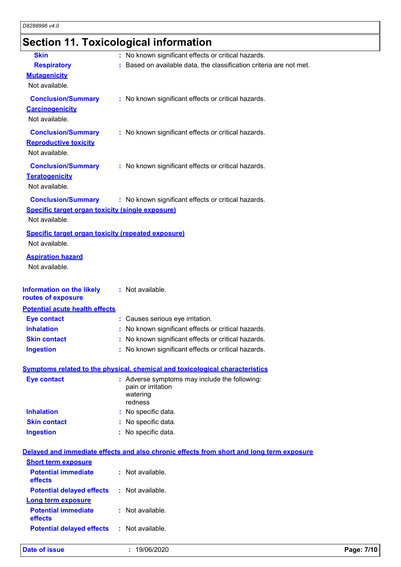# **Section 11. Toxicological information**

| <b>Skin</b>                                               | : No known significant effects or critical hazards.                                      |            |
|-----------------------------------------------------------|------------------------------------------------------------------------------------------|------------|
| <b>Respiratory</b>                                        | : Based on available data, the classification criteria are not met.                      |            |
| <b>Mutagenicity</b>                                       |                                                                                          |            |
| Not available.                                            |                                                                                          |            |
| <b>Conclusion/Summary</b>                                 | : No known significant effects or critical hazards.                                      |            |
| <b>Carcinogenicity</b>                                    |                                                                                          |            |
| Not available.                                            |                                                                                          |            |
| <b>Conclusion/Summary</b>                                 | : No known significant effects or critical hazards.                                      |            |
| <b>Reproductive toxicity</b>                              |                                                                                          |            |
| Not available.                                            |                                                                                          |            |
| <b>Conclusion/Summary</b>                                 | : No known significant effects or critical hazards.                                      |            |
| <b>Teratogenicity</b>                                     |                                                                                          |            |
| Not available.                                            |                                                                                          |            |
|                                                           |                                                                                          |            |
| <b>Conclusion/Summary</b>                                 | : No known significant effects or critical hazards.                                      |            |
| <b>Specific target organ toxicity (single exposure)</b>   |                                                                                          |            |
| Not available.                                            |                                                                                          |            |
| <b>Specific target organ toxicity (repeated exposure)</b> |                                                                                          |            |
| Not available.                                            |                                                                                          |            |
| <b>Aspiration hazard</b>                                  |                                                                                          |            |
| Not available.                                            |                                                                                          |            |
|                                                           |                                                                                          |            |
| <b>Information on the likely</b>                          | : Not available.                                                                         |            |
| routes of exposure                                        |                                                                                          |            |
| <b>Potential acute health effects</b>                     |                                                                                          |            |
| <b>Eye contact</b>                                        | : Causes serious eye irritation.                                                         |            |
| <b>Inhalation</b>                                         | : No known significant effects or critical hazards.                                      |            |
| <b>Skin contact</b>                                       | : No known significant effects or critical hazards.                                      |            |
| <b>Ingestion</b>                                          | No known significant effects or critical hazards                                         |            |
|                                                           |                                                                                          |            |
|                                                           | <b>Symptoms related to the physical, chemical and toxicological characteristics</b>      |            |
| <b>Eye contact</b>                                        | : Adverse symptoms may include the following:<br>pain or irritation                      |            |
|                                                           | watering                                                                                 |            |
|                                                           | redness                                                                                  |            |
| <b>Inhalation</b>                                         | : No specific data.                                                                      |            |
| <b>Skin contact</b>                                       | : No specific data.                                                                      |            |
| <b>Ingestion</b>                                          | : No specific data.                                                                      |            |
|                                                           |                                                                                          |            |
|                                                           | Delayed and immediate effects and also chronic effects from short and long term exposure |            |
| <b>Short term exposure</b>                                |                                                                                          |            |
| <b>Potential immediate</b><br>effects                     | : Not available.                                                                         |            |
| <b>Potential delayed effects</b>                          | : Not available.                                                                         |            |
|                                                           |                                                                                          |            |
| <b>Long term exposure</b><br><b>Potential immediate</b>   | : Not available.                                                                         |            |
| effects                                                   |                                                                                          |            |
| <b>Potential delayed effects</b>                          | : Not available.                                                                         |            |
|                                                           |                                                                                          |            |
| <b>Date of issue</b>                                      | : 19/06/2020                                                                             | Page: 7/10 |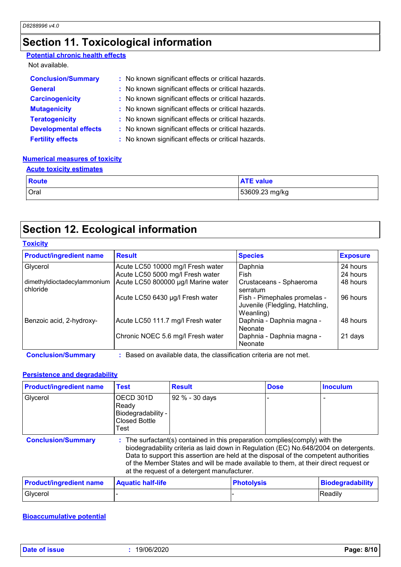# **Section 11. Toxicological information**

### **Potential chronic health effects**

Not available.

| <b>Conclusion/Summary</b>    | : No known significant effects or critical hazards. |
|------------------------------|-----------------------------------------------------|
| <b>General</b>               | : No known significant effects or critical hazards. |
| <b>Carcinogenicity</b>       | : No known significant effects or critical hazards. |
| <b>Mutagenicity</b>          | : No known significant effects or critical hazards. |
| <b>Teratogenicity</b>        | : No known significant effects or critical hazards. |
| <b>Developmental effects</b> | : No known significant effects or critical hazards. |
| <b>Fertility effects</b>     | : No known significant effects or critical hazards. |

### **Numerical measures of toxicity**

### **Acute toxicity estimates**

| <b>Route</b> | <b>ATE value</b> |
|--------------|------------------|
| Oral         | 53609.23 mg/kg   |

# **Section 12. Ecological information**

#### **Toxicity**

| <b>Product/ingredient name</b>          | <b>Result</b>                       | <b>Species</b>                                                               | <b>Exposure</b> |
|-----------------------------------------|-------------------------------------|------------------------------------------------------------------------------|-----------------|
| Glycerol                                | Acute LC50 10000 mg/l Fresh water   | Daphnia                                                                      | 24 hours        |
|                                         | Acute LC50 5000 mg/l Fresh water    | Fish                                                                         | 24 hours        |
| dimethyldioctadecylammonium<br>chloride | Acute LC50 800000 µg/l Marine water | Crustaceans - Sphaeroma<br>serratum                                          | 48 hours        |
|                                         | Acute LC50 6430 µg/l Fresh water    | Fish - Pimephales promelas -<br>Juvenile (Fledgling, Hatchling,<br>Weanling) | 96 hours        |
| Benzoic acid, 2-hydroxy-                | Acute LC50 111.7 mg/l Fresh water   | Daphnia - Daphnia magna -<br>Neonate                                         | 48 hours        |
|                                         | Chronic NOEC 5.6 mg/l Fresh water   | Daphnia - Daphnia magna -<br>Neonate                                         | 21 days         |

**Conclusion/Summary :** Based on available data, the classification criteria are not met.

### **Persistence and degradability**

| <b>Product/ingredient name</b> | <b>Test</b>                                                                                                                                                                                                                                                                                                                                                                                      | <b>Result</b>  |                   | <b>Dose</b> | <b>Inoculum</b>         |
|--------------------------------|--------------------------------------------------------------------------------------------------------------------------------------------------------------------------------------------------------------------------------------------------------------------------------------------------------------------------------------------------------------------------------------------------|----------------|-------------------|-------------|-------------------------|
| Glycerol                       | OECD 301D<br>Ready<br>Biodegradability -<br><b>Closed Bottle</b><br><b>Test</b>                                                                                                                                                                                                                                                                                                                  | 92 % - 30 days |                   |             |                         |
| <b>Conclusion/Summary</b>      | The surfactant(s) contained in this preparation complies (comply) with the<br>biodegradability criteria as laid down in Regulation (EC) No.648/2004 on detergents.<br>Data to support this assertion are held at the disposal of the competent authorities<br>of the Member States and will be made available to them, at their direct request or<br>at the request of a detergent manufacturer. |                |                   |             |                         |
| <b>Product/ingredient name</b> | <b>Aquatic half-life</b>                                                                                                                                                                                                                                                                                                                                                                         |                | <b>Photolysis</b> |             | <b>Biodegradability</b> |
| Glycerol                       |                                                                                                                                                                                                                                                                                                                                                                                                  |                |                   |             | Readily                 |

### **Bioaccumulative potential**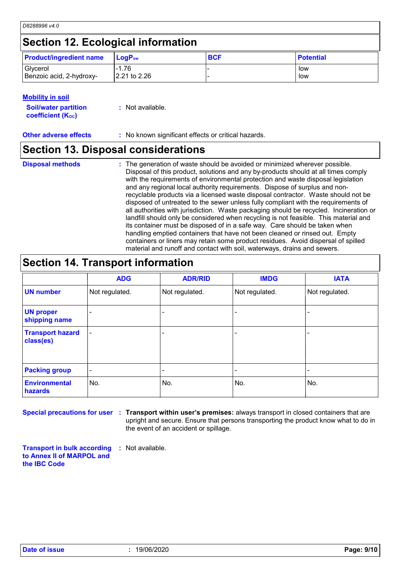# **Section 12. Ecological information**

| <b>Product/ingredient name</b> | <b>ILoqP</b> ‱ | <b>BCF</b> | <b>Potential</b> |
|--------------------------------|----------------|------------|------------------|
| Glycerol                       | $-1.76$        |            | low              |
| Benzoic acid, 2-hydroxy-       | 2.21 to 2.26   |            | low              |

### **Mobility in soil**

| <b>Soil/water partition</b> | : Not available. |
|-----------------------------|------------------|
| <b>coefficient (K</b> oc)   |                  |

**Other adverse effects** : No known significant effects or critical hazards.

## **Section 13. Disposal considerations**

The generation of waste should be avoided or minimized wherever possible. Disposal of this product, solutions and any by-products should at all times comply with the requirements of environmental protection and waste disposal legislation and any regional local authority requirements. Dispose of surplus and nonrecyclable products via a licensed waste disposal contractor. Waste should not be disposed of untreated to the sewer unless fully compliant with the requirements of all authorities with jurisdiction. Waste packaging should be recycled. Incineration or landfill should only be considered when recycling is not feasible. This material and its container must be disposed of in a safe way. Care should be taken when handling emptied containers that have not been cleaned or rinsed out. Empty containers or liners may retain some product residues. Avoid dispersal of spilled material and runoff and contact with soil, waterways, drains and sewers. **Disposal methods :**

## **Section 14. Transport information**

|                                      | <b>ADG</b>               | <b>ADR/RID</b> | <b>IMDG</b>              | <b>IATA</b>    |
|--------------------------------------|--------------------------|----------------|--------------------------|----------------|
| <b>UN number</b>                     | Not regulated.           | Not regulated. | Not regulated.           | Not regulated. |
| <b>UN proper</b><br>shipping name    |                          |                | ٠                        |                |
| <b>Transport hazard</b><br>class(es) |                          |                | ٠                        |                |
| <b>Packing group</b>                 | $\overline{\phantom{a}}$ |                | $\overline{\phantom{0}}$ |                |
| <b>Environmental</b><br>hazards      | No.                      | No.            | No.                      | No.            |

**Special precautions for user** : Transport within user's premises: always transport in closed containers that are upright and secure. Ensure that persons transporting the product know what to do in the event of an accident or spillage.

**Transport in bulk according to Annex II of MARPOL and the IBC Code :** Not available.